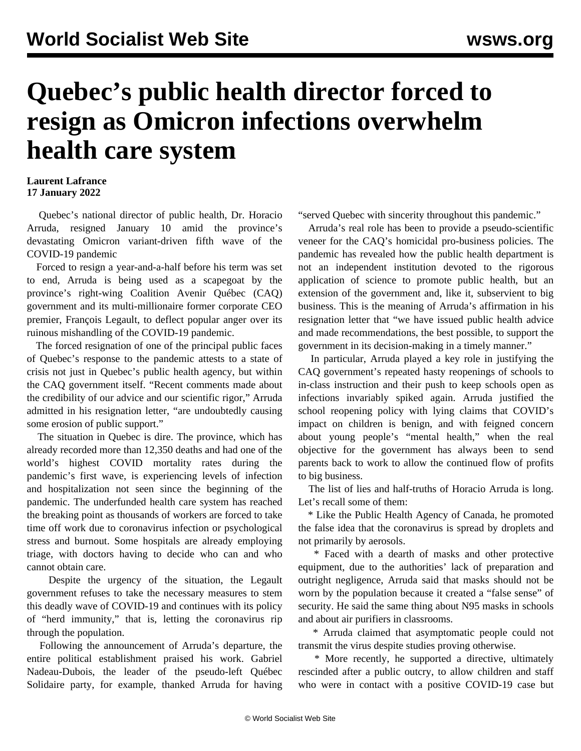## **Quebec's public health director forced to resign as Omicron infections overwhelm health care system**

## **Laurent Lafrance 17 January 2022**

 Quebec's national director of public health, Dr. Horacio Arruda, resigned January 10 amid the province's devastating Omicron variant-driven fifth wave of the COVID-19 pandemic

 Forced to resign a year-and-a-half before his term was set to end, Arruda is being used as a scapegoat by the province's right-wing Coalition Avenir Québec (CAQ) government and its multi-millionaire former corporate CEO premier, François Legault, to deflect popular anger over its ruinous mishandling of the COVID-19 pandemic.

 The forced resignation of one of the principal public faces of Quebec's response to the pandemic attests to a state of crisis not just in Quebec's public health agency, but within the CAQ government itself. "Recent comments made about the credibility of our advice and our scientific rigor," Arruda admitted in his resignation letter, "are undoubtedly causing some erosion of public support."

 The situation in Quebec is dire. The province, which has already recorded more than 12,350 deaths and had one of the world's highest COVID mortality rates during the pandemic's first wave, is experiencing levels of infection and hospitalization not seen since the beginning of the pandemic. The underfunded health care system has reached the breaking point as thousands of workers are forced to take time off work due to coronavirus infection or psychological stress and burnout. Some hospitals are already employing triage, with doctors having to decide who can and who cannot obtain care.

 Despite the urgency of the situation, the Legault government refuses to take the necessary measures to stem this deadly wave of COVID-19 and continues with its policy of "herd immunity," that is, letting the coronavirus rip through the population.

 Following the announcement of Arruda's departure, the entire political establishment praised his work. Gabriel Nadeau-Dubois, the leader of the pseudo-left Québec Solidaire party, for example, thanked Arruda for having "served Quebec with sincerity throughout this pandemic."

 Arruda's real role has been to provide a pseudo-scientific veneer for the CAQ's homicidal pro-business policies. The pandemic has revealed how the public health department is not an independent institution devoted to the rigorous application of science to promote public health, but an extension of the government and, like it, subservient to big business. This is the meaning of Arruda's affirmation in his resignation letter that "we have issued public health advice and made recommendations, the best possible, to support the government in its decision-making in a timely manner."

 In particular, Arruda played a key role in justifying the CAQ government's repeated hasty reopenings of schools to in-class instruction and their push to keep schools open as infections invariably spiked again. Arruda justified the school reopening policy with lying claims that COVID's impact on children is benign, and with feigned concern about young people's "mental health," when the real objective for the government has always been to send parents back to work to allow the continued flow of profits to big business.

 The list of lies and half-truths of Horacio Arruda is long. Let's recall some of them:

 \* Like the Public Health Agency of Canada, he promoted the false idea that the coronavirus is spread by droplets and not primarily by aerosols.

 \* Faced with a dearth of masks and other protective equipment, due to the authorities' lack of preparation and outright negligence, Arruda said that masks should not be worn by the population because it created a "false sense" of security. He said the same thing about N95 masks in schools and about air purifiers in classrooms.

 \* Arruda claimed that asymptomatic people could not transmit the virus despite studies proving otherwise.

 \* More recently, he supported a directive, ultimately rescinded after a public outcry, to allow children and staff who were in contact with a positive COVID-19 case but